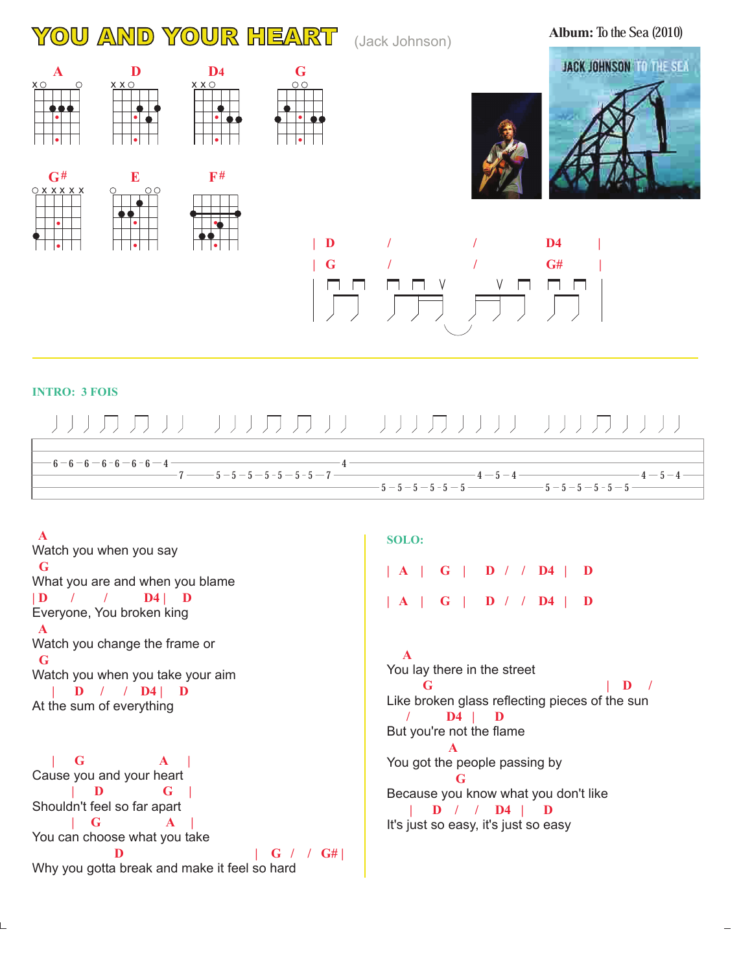## YOU AND YOUR HEART (Jack Johnson)

**Album:** To the Sea (2010)

 $4 - 5 - 4$ 



### **INTRO: 3 FOIS**

 **A**

 $6 - 6 - 6 - 6 - 6 - 6 - 4$ 

# ハルカ カリー ハルカ カリエ リルカリリナ リルカリリル

4

 $-7 - 5 - 5 - 5 - 5 - 5 - 5 - 5 - 7$ 

### **G | D / / D4 | D A G | D / / D4 | D** Watch you when you say What you are and when you blame Everyone, You broken king Watch you change the frame or Watch you when you take your aim At the sum of everything  **| G A | | D G | | G A | D** | G / / G# Cause you and your heart Shouldn't feel so far apart You can choose what you take

Why you gotta break and make it feel so hard

#### **SOLO:**

**| A | G | D / / D4 | D | A | G | D / / D4 | D**

 $5 - 5 - 5 - 5 - 5 - 5 - 5 - 5 - 5 - 5$  $-4 - 5 - 4 -$ 

 **A G**  $\qquad \qquad$  | **D** /  **/ D4 | D A G | D / / D4 | D** You lay there in the street Like broken glass reflecting pieces of the sun But you're not the flame You got the people passing by Because you know what you don't like It's just so easy, it's just so easy